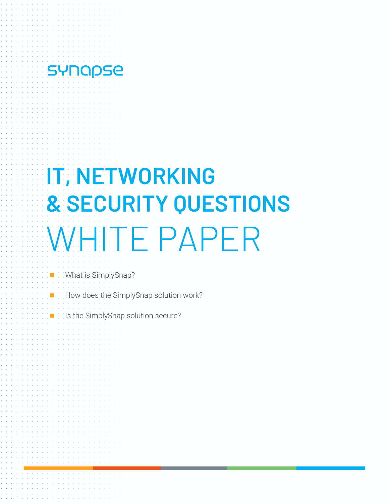# **IT, NETWORKING & SECURITY QUESTIONS**  WHITE PAPER

§ What is SimplySnap?

SYNOPSE

- § How does the SimplySnap solution work?
- § Is the SimplySnap solution secure?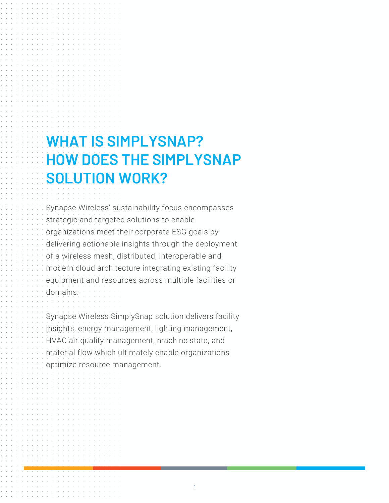### **WHAT IS SIMPLYSNAP? HOW DOES THE SIMPLYSNAP SOLUTION WORK?**

Synapse Wireless' sustainability focus encompasses strategic and targeted solutions to enable organizations meet their corporate ESG goals by delivering actionable insights through the deployment of a wireless mesh, distributed, interoperable and modern cloud architecture integrating existing facility equipment and resources across multiple facilities or domains.

Synapse Wireless SimplySnap solution delivers facility insights, energy management, lighting management, HVAC air quality management, machine state, and material flow which ultimately enable organizations optimize resource management.

1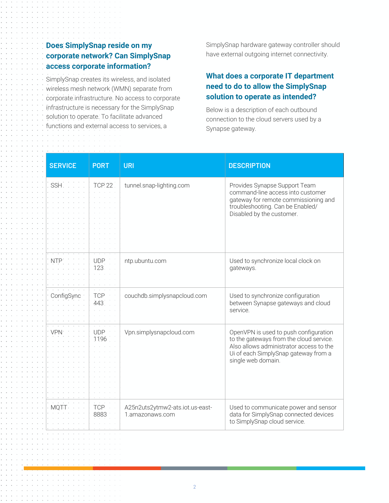#### **Does SimplySnap reside on my corporate network? Can SimplySnap access corporate information?**

SimplySnap creates its wireless, and isolated wireless mesh network (WMN) separate from corporate infrastructure. No access to corporate infrastructure is necessary for the SimplySnap solution to operate. To facilitate advanced functions and external access to services, a

SimplySnap hardware gateway controller should have external outgoing internet connectivity.

#### **What does a corporate IT department need to do to allow the SimplySnap solution to operate as intended?**

Below is a description of each outbound connection to the cloud servers used by a Synapse gateway.

| <b>SERVICE</b><br><b>PORT</b> | <b>URI</b>                                         | <b>DESCRIPTION</b>                                                                                                                                                                        |
|-------------------------------|----------------------------------------------------|-------------------------------------------------------------------------------------------------------------------------------------------------------------------------------------------|
| SSH.<br><b>TCP 22</b>         | tunnel.snap-lighting.com                           | Provides Synapse Support Team<br>command-line access into customer<br>gateway for remote commissioning and<br>troubleshooting. Can be Enabled/<br>Disabled by the customer.               |
| <b>UDP</b><br>nte<br>123      | ntp.ubuntu.com                                     | Used to synchronize local clock on<br>gateways.                                                                                                                                           |
| TCP<br>ConfigSync<br>443      | couchdb.simplysnapcloud.com                        | Used to synchronize configuration<br>between Synapse gateways and cloud<br>service.                                                                                                       |
| <b>UDP</b><br>1196            | Vpn.simplysnapcloud.com                            | OpenVPN is used to push configuration<br>to the gateways from the cloud service.<br>Also allows administrator access to the<br>Ui of each SimplySnap gateway from a<br>single web domain. |
| <b>TCP</b><br>MO E<br>8883    | A25n2uts2ytmw2-ats.iot.us-east-<br>1.amazonaws.com | Used to communicate power and sensor<br>data for SimplySnap connected devices<br>to SimplySnap cloud service.                                                                             |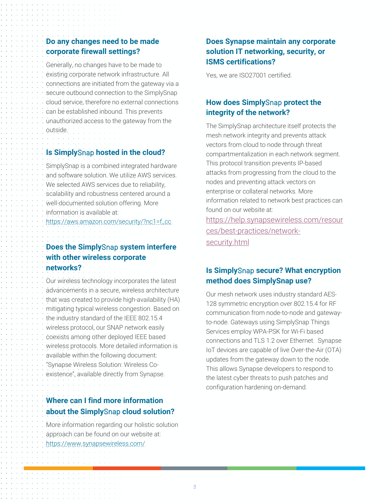#### **Do any changes need to be made corporate firewall settings?**

Generally, no changes have to be made to existing corporate network infrastructure. All connections are initiated from the gateway via a secure outbound connection to the SimplySnap cloud service, therefore no external connections can be established inbound. This prevents unauthorized access to the gateway from the outside.

#### **Is Simply**Snap **hosted in the cloud?**

SimplySnap is a combined integrated hardware and software solution. We utilize AWS services. We selected AWS services due to reliability. scalability and robustness centered around a well-documented solution offering. More information is available at:

https://aws.amazon.com/security/?nc1=f\_cc

#### **Does the Simply**Snap **system interfere with other wireless corporate networks?**

Our wireless technology incorporates the latest advancements in a secure, wireless architecture that was created to provide high-availability (HA) mitigating typical wireless congestion. Based on the industry standard of the IEEE 802.15.4 wireless protocol, our SNAP network easily coexists among other deployed IEEE based wireless protocols. More detailed information is available within the following document: "Synapse Wireless Solution: Wireless Coexistence", available directly from Synapse.

#### **Where can I find more information about the Simply**Snap **cloud solution?**

More information regarding our holistic solution approach can be found on our website at: https://www.synapsewireless.com/

#### **Does Synapse maintain any corporate solution IT networking, security, or ISMS certifications?**

Yes, we are ISO27001 certified.

#### **How does Simply**Snap **protect the integrity of the network?**

The SimplySnap architecture itself protects the mesh network integrity and prevents attack vectors from cloud to node through threat compartmentalization in each network segment. This protocol transition prevents IP-based attacks from progressing from the cloud to the nodes and preventing attack vectors on enterprise or collateral networks. More information related to network best practices can found on our website at:

https://help.synapsewireless.com/resour ces/best-practices/networksecurity.html

#### **Is Simply**Snap **secure? What encryption method does SimplySnap use?**

Our mesh network uses industry standard AES-128 symmetric encryption over 802.15.4 for RF communication from node-to-node and gatewayto-node. Gateways using SimplySnap Things Services employ WPA-PSK for Wi-Fi based connections and TLS 1.2 over Ethernet. Synapse IoT devices are capable of live Over-the-Air (OTA) updates from the gateway down to the node. This allows Synapse developers to respond to the latest cyber threats to push patches and configuration hardening on-demand.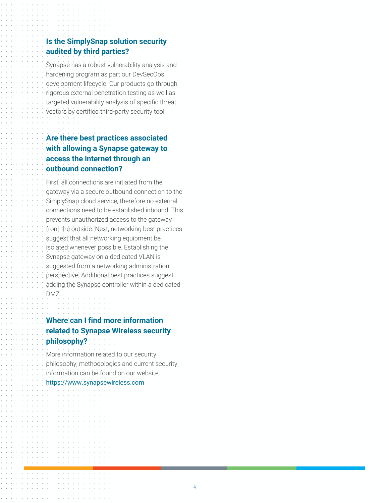#### **Is the SimplySnap solution security audited by third parties?**

Synapse has a robust vulnerability analysis and hardening program as part our DevSecOps development lifecycle. Our products go through rigorous external penetration testing as well as targeted vulnerability analysis of specific threat vectors by certified third-party security tool

#### **Are there best practices associated with allowing a Synapse gateway to access the internet through an outbound connection?**

First, all connections are initiated from the gateway via a secure outbound connection to the SimplySnap cloud service, therefore no external connections need to be established inbound. This prevents unauthorized access to the gateway from the outside. Next, networking best practices suggest that all networking equipment be isolated whenever possible. Establishing the Synapse gateway on a dedicated VLAN is suggested from a networking administration perspective. Additional best practices suggest adding the Synapse controller within a dedicated DMZ.

#### **Where can I find more information related to Synapse Wireless security philosophy?**

More information related to our security philosophy, methodologies and current security information can be found on our website: https://www.synapsewireless.com